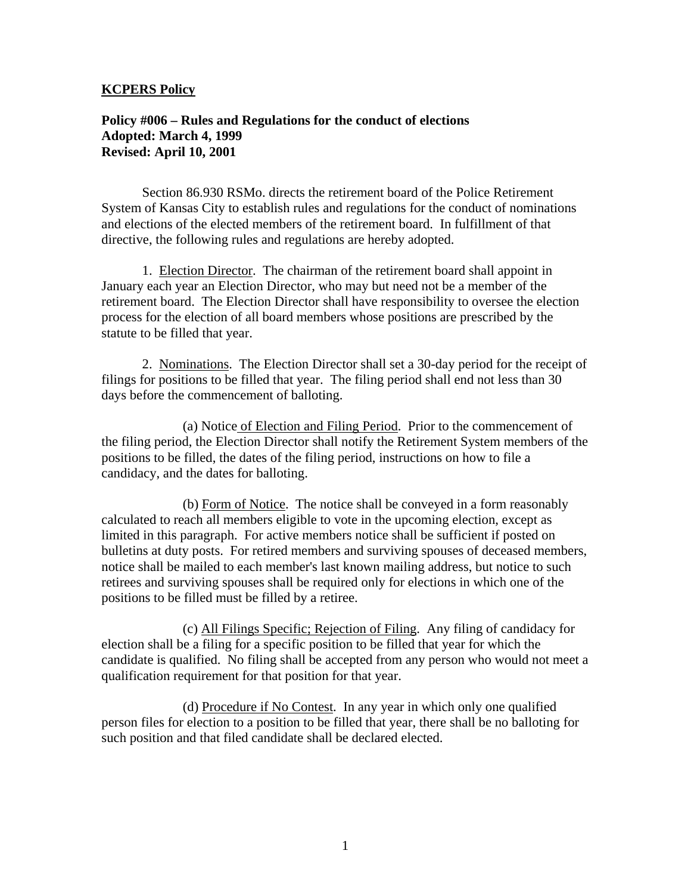#### **KCPERS Policy**

# **Policy #006 – Rules and Regulations for the conduct of elections Adopted: March 4, 1999 Revised: April 10, 2001**

Section 86.930 RSMo. directs the retirement board of the Police Retirement System of Kansas City to establish rules and regulations for the conduct of nominations and elections of the elected members of the retirement board. In fulfillment of that directive, the following rules and regulations are hereby adopted.

 1. Election Director. The chairman of the retirement board shall appoint in January each year an Election Director, who may but need not be a member of the retirement board. The Election Director shall have responsibility to oversee the election process for the election of all board members whose positions are prescribed by the statute to be filled that year.

 2. Nominations. The Election Director shall set a 30-day period for the receipt of filings for positions to be filled that year. The filing period shall end not less than 30 days before the commencement of balloting.

 (a) Notice of Election and Filing Period. Prior to the commencement of the filing period, the Election Director shall notify the Retirement System members of the positions to be filled, the dates of the filing period, instructions on how to file a candidacy, and the dates for balloting.

 (b) Form of Notice. The notice shall be conveyed in a form reasonably calculated to reach all members eligible to vote in the upcoming election, except as limited in this paragraph. For active members notice shall be sufficient if posted on bulletins at duty posts. For retired members and surviving spouses of deceased members, notice shall be mailed to each member's last known mailing address, but notice to such retirees and surviving spouses shall be required only for elections in which one of the positions to be filled must be filled by a retiree.

 (c) All Filings Specific; Rejection of Filing. Any filing of candidacy for election shall be a filing for a specific position to be filled that year for which the candidate is qualified. No filing shall be accepted from any person who would not meet a qualification requirement for that position for that year.

 (d) Procedure if No Contest. In any year in which only one qualified person files for election to a position to be filled that year, there shall be no balloting for such position and that filed candidate shall be declared elected.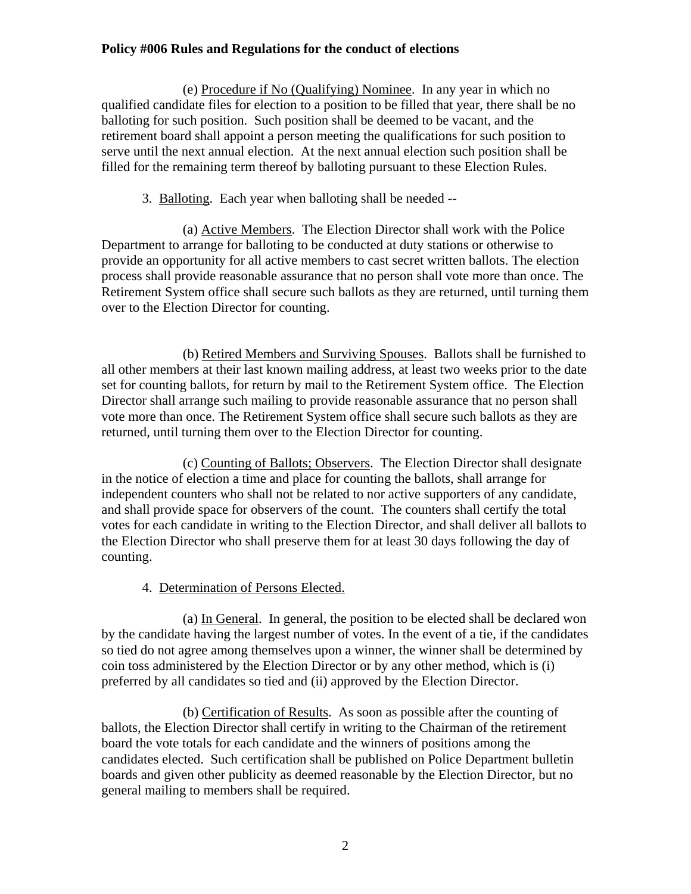# **Policy #006 Rules and Regulations for the conduct of elections**

 (e) Procedure if No (Qualifying) Nominee. In any year in which no qualified candidate files for election to a position to be filled that year, there shall be no balloting for such position. Such position shall be deemed to be vacant, and the retirement board shall appoint a person meeting the qualifications for such position to serve until the next annual election. At the next annual election such position shall be filled for the remaining term thereof by balloting pursuant to these Election Rules.

3. Balloting. Each year when balloting shall be needed --

 (a) Active Members. The Election Director shall work with the Police Department to arrange for balloting to be conducted at duty stations or otherwise to provide an opportunity for all active members to cast secret written ballots. The election process shall provide reasonable assurance that no person shall vote more than once. The Retirement System office shall secure such ballots as they are returned, until turning them over to the Election Director for counting.

 (b) Retired Members and Surviving Spouses. Ballots shall be furnished to all other members at their last known mailing address, at least two weeks prior to the date set for counting ballots, for return by mail to the Retirement System office. The Election Director shall arrange such mailing to provide reasonable assurance that no person shall vote more than once. The Retirement System office shall secure such ballots as they are returned, until turning them over to the Election Director for counting.

 (c) Counting of Ballots; Observers. The Election Director shall designate in the notice of election a time and place for counting the ballots, shall arrange for independent counters who shall not be related to nor active supporters of any candidate, and shall provide space for observers of the count. The counters shall certify the total votes for each candidate in writing to the Election Director, and shall deliver all ballots to the Election Director who shall preserve them for at least 30 days following the day of counting.

4. Determination of Persons Elected.

 (a) In General. In general, the position to be elected shall be declared won by the candidate having the largest number of votes. In the event of a tie, if the candidates so tied do not agree among themselves upon a winner, the winner shall be determined by coin toss administered by the Election Director or by any other method, which is (i) preferred by all candidates so tied and (ii) approved by the Election Director.

 (b) Certification of Results. As soon as possible after the counting of ballots, the Election Director shall certify in writing to the Chairman of the retirement board the vote totals for each candidate and the winners of positions among the candidates elected. Such certification shall be published on Police Department bulletin boards and given other publicity as deemed reasonable by the Election Director, but no general mailing to members shall be required.